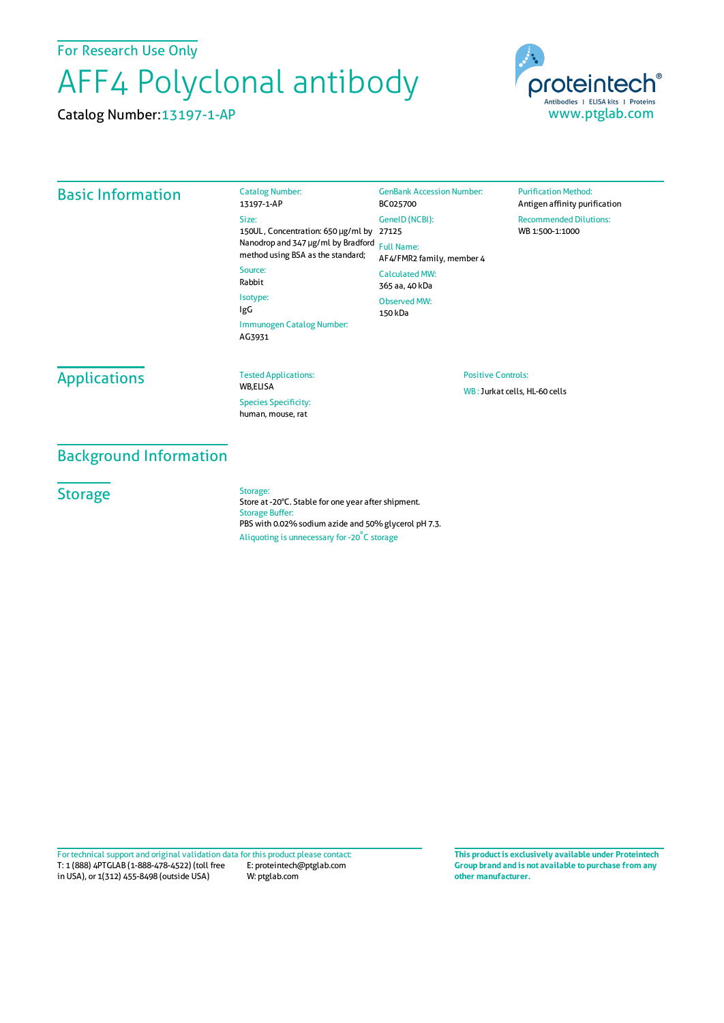For Research Use Only

# AFF4 Polyclonal antibody

Catalog Number:13197-1-AP



#### Basic Information

Catalog Number: 13197-1-AP Size: 150UL , Concentration: 650 μg/ml by 27125 Nanodrop and 347 μg/ml by Bradford Full Name: method using BSA as the standard; Source: Rabbit Isotype: GenBank Accession Number: BC025700 GeneID(NCBI): AF4/FMR2 family, member 4 CalculatedMW: 365 aa, 40 kDa

Immunogen Catalog Number: Observed MW: 150 kDa

**Purification Method:** Antigen affinity purification Recommended Dilutions: WB 1:500-1:1000

## **Applications**

#### Tested Applications:

WB,ELISA Species Specificity: human, mouse, rat

# Positive Controls:

WB :Jurkat cells, HL-60 cells

### Background Information

**Storage** 

#### Storage:

IgG

AG3931

Store at -20°C. Stable for one year after shipment. Storage Buffer: PBS with 0.02% sodium azide and 50% glycerol pH 7.3. Aliquoting is unnecessary for -20<sup>°</sup>C storage

T: 1 (888) 4PTGLAB (1-888-478-4522) (toll free in USA), or 1(312) 455-8498 (outside USA) E: proteintech@ptglab.com W: ptglab.com Fortechnical support and original validation data forthis product please contact: **This productis exclusively available under Proteintech**

**Group brand and is not available to purchase from any other manufacturer.**